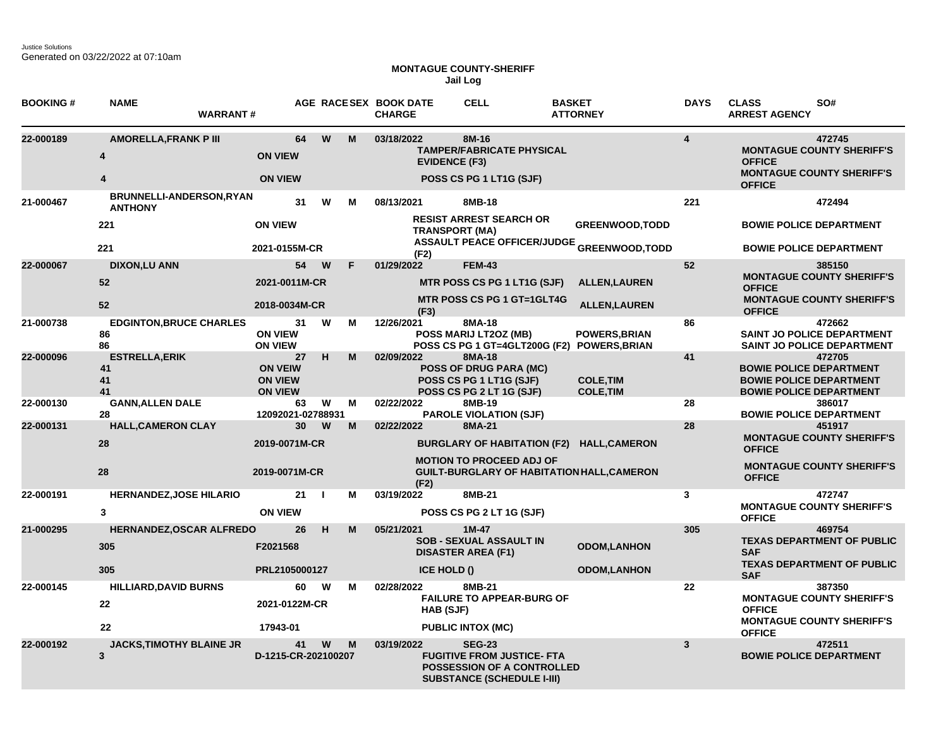## **MONTAGUE COUNTY-SHERIFF Jail Log**

| <b>BOOKING#</b> | <b>NAME</b><br><b>WARRANT#</b>             |                                                          |                |    | AGE RACESEX BOOK DATE<br><b>CHARGE</b> | <b>CELL</b>                                                                                                                  | <b>BASKET</b><br><b>ATTORNEY</b>                                    | <b>DAYS</b>             | <b>CLASS</b><br>SO#<br><b>ARREST AGENCY</b>                                                                  |
|-----------------|--------------------------------------------|----------------------------------------------------------|----------------|----|----------------------------------------|------------------------------------------------------------------------------------------------------------------------------|---------------------------------------------------------------------|-------------------------|--------------------------------------------------------------------------------------------------------------|
| 22-000189       | <b>AMORELLA, FRANK P III</b>               | 64<br><b>ON VIEW</b>                                     | W              | M  | 03/18/2022<br><b>EVIDENCE (F3)</b>     | 8M-16<br><b>TAMPER/FABRICATE PHYSICAL</b>                                                                                    |                                                                     | $\overline{\mathbf{4}}$ | 472745<br><b>MONTAGUE COUNTY SHERIFF'S</b><br><b>OFFICE</b>                                                  |
|                 | 4                                          | <b>ON VIEW</b>                                           |                |    |                                        | POSS CS PG 1 LT1G (SJF)                                                                                                      |                                                                     |                         | <b>MONTAGUE COUNTY SHERIFF'S</b><br><b>OFFICE</b>                                                            |
| 21-000467       | BRUNNELLI-ANDERSON, RYAN<br><b>ANTHONY</b> | 31                                                       | W              | м  | 08/13/2021                             | 8MB-18                                                                                                                       |                                                                     | 221                     | 472494                                                                                                       |
|                 | 221                                        | <b>ON VIEW</b>                                           |                |    |                                        | <b>RESIST ARREST SEARCH OR</b><br><b>TRANSPORT (MA)</b>                                                                      | <b>GREENWOOD, TODD</b>                                              |                         | <b>BOWIE POLICE DEPARTMENT</b>                                                                               |
|                 | 221                                        | 2021-0155M-CR                                            |                |    | (F2)                                   |                                                                                                                              | <b>ASSAULT PEACE OFFICER/JUDGE GREENWOOD,TODD</b>                   |                         | <b>BOWIE POLICE DEPARTMENT</b>                                                                               |
| 22-000067       | <b>DIXON,LU ANN</b>                        | 54 W                                                     |                | F. | 01/29/2022                             | <b>FEM-43</b>                                                                                                                |                                                                     | 52                      | 385150                                                                                                       |
|                 | 52                                         | 2021-0011M-CR                                            |                |    |                                        | MTR POSS CS PG 1 LT1G (SJF)                                                                                                  | <b>ALLEN, LAUREN</b>                                                |                         | <b>MONTAGUE COUNTY SHERIFF'S</b><br><b>OFFICE</b>                                                            |
|                 | 52                                         | 2018-0034M-CR                                            |                |    | (F3)                                   | <b>MTR POSS CS PG 1 GT=1GLT4G</b>                                                                                            | <b>ALLEN, LAUREN</b>                                                |                         | <b>MONTAGUE COUNTY SHERIFF'S</b><br><b>OFFICE</b>                                                            |
| 21-000738       | <b>EDGINTON, BRUCE CHARLES</b><br>86<br>86 | 31<br><b>ON VIEW</b><br><b>ON VIEW</b>                   | W              | м  | 12/26/2021                             | 8MA-18<br>POSS MARIJ LT2OZ (MB)                                                                                              | <b>POWERS, BRIAN</b><br>POSS CS PG 1 GT=4GLT200G (F2) POWERS, BRIAN | 86                      | 472662<br><b>SAINT JO POLICE DEPARTMENT</b><br><b>SAINT JO POLICE DEPARTMENT</b>                             |
| 22-000096       | <b>ESTRELLA, ERIK</b><br>41<br>41<br>41    | 27<br><b>ON VEIW</b><br><b>ON VIEW</b><br><b>ON VIEW</b> | н              | M  | 02/09/2022                             | 8MA-18<br><b>POSS OF DRUG PARA (MC)</b><br>POSS CS PG 1 LT1G (SJF)<br>POSS CS PG 2 LT 1G (SJF)                               | <b>COLE, TIM</b><br><b>COLE, TIM</b>                                | 41                      | 472705<br><b>BOWIE POLICE DEPARTMENT</b><br><b>BOWIE POLICE DEPARTMENT</b><br><b>BOWIE POLICE DEPARTMENT</b> |
| 22-000130       | <b>GANN, ALLEN DALE</b><br>28              | 63<br>12092021-02788931                                  | W              | М  | 02/22/2022                             | 8MB-19<br><b>PAROLE VIOLATION (SJF)</b>                                                                                      |                                                                     | 28                      | 386017<br><b>BOWIE POLICE DEPARTMENT</b>                                                                     |
| 22-000131       | <b>HALL, CAMERON CLAY</b>                  | 30                                                       | W              | M  | 02/22/2022                             | 8MA-21                                                                                                                       |                                                                     | 28                      | 451917                                                                                                       |
|                 | 28                                         | 2019-0071M-CR                                            |                |    |                                        |                                                                                                                              | BURGLARY OF HABITATION (F2) HALL, CAMERON                           |                         | <b>MONTAGUE COUNTY SHERIFF'S</b><br><b>OFFICE</b>                                                            |
|                 | 28                                         | 2019-0071M-CR                                            |                |    | (F2)                                   | <b>MOTION TO PROCEED ADJ OF</b>                                                                                              | <b>GUILT-BURGLARY OF HABITATION HALL, CAMERON</b>                   |                         | <b>MONTAGUE COUNTY SHERIFF'S</b><br><b>OFFICE</b>                                                            |
| 22-000191       | <b>HERNANDEZ, JOSE HILARIO</b>             | 21                                                       | $\blacksquare$ | М  | 03/19/2022                             | 8MB-21                                                                                                                       |                                                                     | 3                       | 472747                                                                                                       |
|                 | $\mathbf{3}$                               | <b>ON VIEW</b>                                           |                |    |                                        | POSS CS PG 2 LT 1G (SJF)                                                                                                     |                                                                     |                         | <b>MONTAGUE COUNTY SHERIFF'S</b><br><b>OFFICE</b>                                                            |
| 21-000295       | <b>HERNANDEZ, OSCAR ALFREDO</b>            | 26                                                       | H              | M  | 05/21/2021                             | $1M-47$                                                                                                                      |                                                                     | 305                     | 469754                                                                                                       |
|                 | 305                                        | F2021568                                                 |                |    |                                        | <b>SOB - SEXUAL ASSAULT IN</b><br><b>DISASTER AREA (F1)</b>                                                                  | <b>ODOM,LANHON</b>                                                  |                         | <b>TEXAS DEPARTMENT OF PUBLIC</b><br><b>SAF</b>                                                              |
|                 | 305                                        | PRL2105000127                                            |                |    | <b>ICE HOLD ()</b>                     |                                                                                                                              | <b>ODOM,LANHON</b>                                                  |                         | <b>TEXAS DEPARTMENT OF PUBLIC</b><br><b>SAF</b>                                                              |
| 22-000145       | <b>HILLIARD, DAVID BURNS</b>               | 60                                                       | W              | М  | 02/28/2022                             | 8MB-21                                                                                                                       |                                                                     | 22                      | 387350                                                                                                       |
|                 | 22                                         | 2021-0122M-CR                                            |                |    | HAB (SJF)                              | <b>FAILURE TO APPEAR-BURG OF</b>                                                                                             |                                                                     |                         | <b>MONTAGUE COUNTY SHERIFF'S</b><br><b>OFFICE</b>                                                            |
|                 | 22                                         | 17943-01                                                 |                |    |                                        | <b>PUBLIC INTOX (MC)</b>                                                                                                     |                                                                     |                         | <b>MONTAGUE COUNTY SHERIFF'S</b><br><b>OFFICE</b>                                                            |
| 22-000192       | <b>JACKS, TIMOTHY BLAINE JR</b><br>3       | 41<br>D-1215-CR-202100207                                | W              | M  | 03/19/2022                             | <b>SEG-23</b><br><b>FUGITIVE FROM JUSTICE- FTA</b><br><b>POSSESSION OF A CONTROLLED</b><br><b>SUBSTANCE (SCHEDULE I-III)</b> |                                                                     | $\mathbf{3}$            | 472511<br><b>BOWIE POLICE DEPARTMENT</b>                                                                     |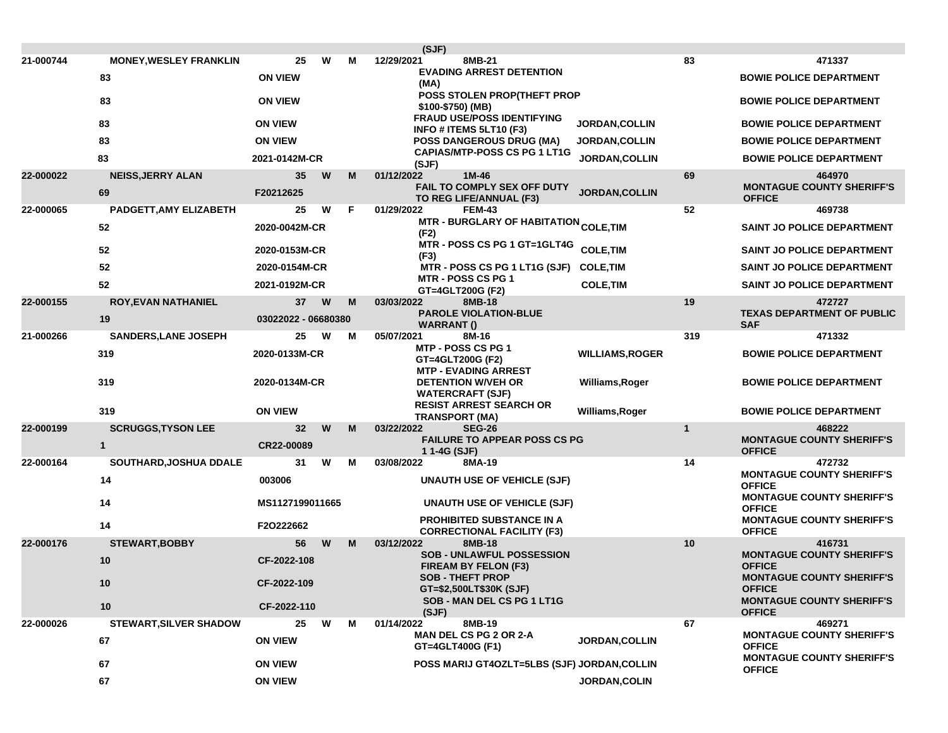|           |                               |                     |   |   | (SJF)                                                                   |                        |              |                                                                                       |
|-----------|-------------------------------|---------------------|---|---|-------------------------------------------------------------------------|------------------------|--------------|---------------------------------------------------------------------------------------|
| 21-000744 | <b>MONEY, WESLEY FRANKLIN</b> | 25                  | W | м | 12/29/2021<br>8MB-21                                                    |                        | 83           | 471337                                                                                |
|           | 83                            | <b>ON VIEW</b>      |   |   | <b>EVADING ARREST DETENTION</b><br>(MA)                                 |                        |              | <b>BOWIE POLICE DEPARTMENT</b>                                                        |
|           | 83                            | <b>ON VIEW</b>      |   |   | POSS STOLEN PROP(THEFT PROP<br>\$100-\$750) (MB)                        |                        |              | <b>BOWIE POLICE DEPARTMENT</b>                                                        |
|           | 83                            | <b>ON VIEW</b>      |   |   | <b>FRAUD USE/POSS IDENTIFYING</b><br>INFO # ITEMS 5LT10 (F3)            | <b>JORDAN, COLLIN</b>  |              | <b>BOWIE POLICE DEPARTMENT</b>                                                        |
|           | 83                            | <b>ON VIEW</b>      |   |   | <b>POSS DANGEROUS DRUG (MA)</b>                                         | <b>JORDAN, COLLIN</b>  |              | <b>BOWIE POLICE DEPARTMENT</b>                                                        |
|           | 83                            | 2021-0142M-CR       |   |   | <b>CAPIAS/MTP-POSS CS PG 1 LT1G</b><br>(SJF)                            | JORDAN, COLLIN         |              | <b>BOWIE POLICE DEPARTMENT</b>                                                        |
| 22-000022 | <b>NEISS, JERRY ALAN</b>      | 35                  | W | м | 1M-46<br>01/12/2022                                                     |                        | 69           | 464970                                                                                |
|           | 69                            | F20212625           |   |   | FAIL TO COMPLY SEX OFF DUTY<br>TO REG LIFE/ANNUAL (F3)                  | JORDAN, COLLIN         |              | <b>MONTAGUE COUNTY SHERIFF'S</b><br><b>OFFICE</b>                                     |
| 22-000065 | PADGETT, AMY ELIZABETH        | 25                  | W | F | 01/29/2022<br><b>FEM-43</b>                                             |                        | 52           | 469738                                                                                |
|           | 52                            | 2020-0042M-CR       |   |   | <b>MTR - BURGLARY OF HABITATION <sub>COLE,</sub>TIM</b><br>(F2)         |                        |              | <b>SAINT JO POLICE DEPARTMENT</b>                                                     |
|           | 52                            | 2020-0153M-CR       |   |   | MTR - POSS CS PG 1 GT=1GLT4G<br>(F3)                                    | <b>COLE, TIM</b>       |              | SAINT JO POLICE DEPARTMENT                                                            |
|           | 52                            | 2020-0154M-CR       |   |   | MTR - POSS CS PG 1 LT1G (SJF)                                           | <b>COLE,TIM</b>        |              | <b>SAINT JO POLICE DEPARTMENT</b>                                                     |
|           | 52                            | 2021-0192M-CR       |   |   | <b>MTR - POSS CS PG 1</b><br>GT=4GLT200G (F2)                           | <b>COLE, TIM</b>       |              | SAINT JO POLICE DEPARTMENT                                                            |
| 22-000155 | <b>ROY, EVAN NATHANIEL</b>    | 37                  | W | M | 8MB-18<br>03/03/2022                                                    |                        | 19           | 472727                                                                                |
|           | 19                            | 03022022 - 06680380 |   |   | <b>PAROLE VIOLATION-BLUE</b><br><b>WARRANT()</b>                        |                        |              | <b>TEXAS DEPARTMENT OF PUBLIC</b><br><b>SAF</b>                                       |
| 21-000266 | <b>SANDERS, LANE JOSEPH</b>   | 25                  | W | М | 05/07/2021<br>8M-16                                                     |                        | 319          | 471332                                                                                |
|           | 319                           | 2020-0133M-CR       |   |   | MTP - POSS CS PG 1<br>GT=4GLT200G (F2)<br><b>MTP - EVADING ARREST</b>   | <b>WILLIAMS, ROGER</b> |              | <b>BOWIE POLICE DEPARTMENT</b>                                                        |
|           | 319                           | 2020-0134M-CR       |   |   | <b>DETENTION W/VEH OR</b><br>Williams, Roger<br><b>WATERCRAFT (SJF)</b> |                        |              | <b>BOWIE POLICE DEPARTMENT</b>                                                        |
|           | 319                           | <b>ON VIEW</b>      |   |   | <b>RESIST ARREST SEARCH OR</b><br><b>TRANSPORT (MA)</b>                 | Williams, Roger        |              | <b>BOWIE POLICE DEPARTMENT</b>                                                        |
| 22-000199 | <b>SCRUGGS, TYSON LEE</b>     | 32                  | W | М | 03/22/2022<br><b>SEG-26</b>                                             |                        | $\mathbf{1}$ | 468222                                                                                |
|           | $\mathbf{1}$                  | CR22-00089          |   |   | <b>FAILURE TO APPEAR POSS CS PG</b><br>11-4G (SJF)                      |                        |              | <b>MONTAGUE COUNTY SHERIFF'S</b><br><b>OFFICE</b>                                     |
| 22-000164 | SOUTHARD, JOSHUA DDALE        | 31                  | W | М | 03/08/2022<br>8MA-19                                                    |                        | 14           | 472732                                                                                |
|           | 14                            | 003006              |   |   | <b>UNAUTH USE OF VEHICLE (SJF)</b>                                      |                        |              | <b>MONTAGUE COUNTY SHERIFF'S</b><br><b>OFFICE</b>                                     |
|           | 14                            | MS1127199011665     |   |   | UNAUTH USE OF VEHICLE (SJF)                                             |                        |              | <b>MONTAGUE COUNTY SHERIFF'S</b><br><b>OFFICE</b>                                     |
|           | 14                            | F2O222662           |   |   | <b>PROHIBITED SUBSTANCE IN A</b><br><b>CORRECTIONAL FACILITY (F3)</b>   |                        |              | <b>MONTAGUE COUNTY SHERIFF'S</b><br><b>OFFICE</b>                                     |
| 22-000176 | <b>STEWART, BOBBY</b>         | 56                  | W | М | 03/12/2022<br>8MB-18                                                    |                        | 10           | 416731                                                                                |
|           | 10                            | CF-2022-108         |   |   | <b>SOB - UNLAWFUL POSSESSION</b><br><b>FIREAM BY FELON (F3)</b>         |                        |              | <b>MONTAGUE COUNTY SHERIFF'S</b><br><b>OFFICE</b>                                     |
|           | 10                            | CF-2022-109         |   |   | <b>SOB - THEFT PROP</b><br>GT=\$2,500LT\$30K (SJF)                      |                        |              | <b>MONTAGUE COUNTY SHERIFF'S</b><br><b>OFFICE</b>                                     |
|           | 10                            | CF-2022-110         |   |   | SOB - MAN DEL CS PG 1 LT1G<br>(SJF)                                     |                        |              | <b>MONTAGUE COUNTY SHERIFF'S</b><br><b>OFFICE</b>                                     |
| 22-000026 | <b>STEWART, SILVER SHADOW</b> | 25                  | W | М | 01/14/2022<br>8MB-19                                                    |                        | 67           | 469271                                                                                |
|           | 67                            | <b>ON VIEW</b>      |   |   | <b>MAN DEL CS PG 2 OR 2-A</b><br>GT=4GLT400G (F1)                       | <b>JORDAN, COLLIN</b>  |              | <b>MONTAGUE COUNTY SHERIFF'S</b><br><b>OFFICE</b><br><b>MONTAGUE COUNTY SHERIFF'S</b> |
|           | 67                            | <b>ON VIEW</b>      |   |   | POSS MARIJ GT4OZLT=5LBS (SJF) JORDAN, COLLIN                            |                        |              | <b>OFFICE</b>                                                                         |
|           | 67                            | <b>ON VIEW</b>      |   |   |                                                                         | JORDAN, COLIN          |              |                                                                                       |